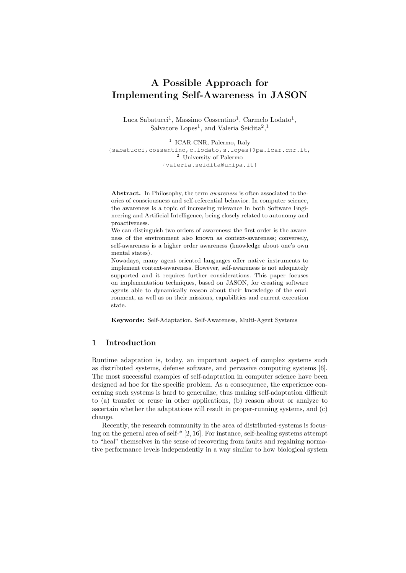# A Possible Approach for Implementing Self-Awareness in JASON

Luca Sabatucci<sup>1</sup>, Massimo Cossentino<sup>1</sup>, Carmelo Lodato<sup>1</sup>, Salvatore Lopes<sup>1</sup>, and Valeria Seidita<sup>2</sup>,<sup>1</sup>

<sup>1</sup> ICAR-CNR, Palermo, Italy {sabatucci,cossentino,c.lodato,s.lopes}@pa.icar.cnr.it, <sup>2</sup> University of Palermo {valeria.seidita@unipa.it}

Abstract. In Philosophy, the term awareness is often associated to theories of consciousness and self-referential behavior. In computer science, the awareness is a topic of increasing relevance in both Software Engineering and Artificial Intelligence, being closely related to autonomy and proactiveness.

We can distinguish two orders of awareness: the first order is the awareness of the environment also known as context-awareness; conversely, self-awareness is a higher order awareness (knowledge about one's own mental states).

Nowadays, many agent oriented languages offer native instruments to implement context-awareness. However, self-awareness is not adequately supported and it requires further considerations. This paper focuses on implementation techniques, based on JASON, for creating software agents able to dynamically reason about their knowledge of the environment, as well as on their missions, capabilities and current execution state.

Keywords: Self-Adaptation, Self-Awareness, Multi-Agent Systems

# 1 Introduction

Runtime adaptation is, today, an important aspect of complex systems such as distributed systems, defense software, and pervasive computing systems [6]. The most successful examples of self-adaptation in computer science have been designed ad hoc for the specific problem. As a consequence, the experience concerning such systems is hard to generalize, thus making self-adaptation difficult to (a) transfer or reuse in other applications, (b) reason about or analyze to ascertain whether the adaptations will result in proper-running systems, and (c) change.

Recently, the research community in the area of distributed-systems is focusing on the general area of self-\* [2, 16]. For instance, self-healing systems attempt to "heal" themselves in the sense of recovering from faults and regaining normative performance levels independently in a way similar to how biological system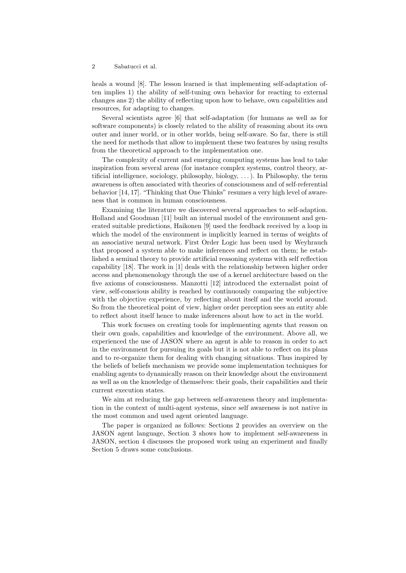heals a wound [8]. The lesson learned is that implementing self-adaptation often implies 1) the ability of self-tuning own behavior for reacting to external changes ans 2) the ability of reflecting upon how to behave, own capabilities and resources, for adapting to changes.

Several scientists agree [6] that self-adaptation (for humans as well as for software components) is closely related to the ability of reasoning about its own outer and inner world, or in other worlds, being self-aware. So far, there is still the need for methods that allow to implement these two features by using results from the theoretical approach to the implementation one.

The complexity of current and emerging computing systems has lead to take inspiration from several areas (for instance complex systems, control theory, artificial intelligence, sociology, philosophy, biology, . . . ). In Philosophy, the term awareness is often associated with theories of consciousness and of self-referential behavior [14, 17]. "Thinking that One Thinks" resumes a very high level of awareness that is common in human consciousness.

Examining the literature we discovered several approaches to self-adaption. Holland and Goodman [11] built an internal model of the environment and generated suitable predictions, Haikonen [9] used the feedback received by a loop in which the model of the environment is implicitly learned in terms of weights of an associative neural network. First Order Logic has been used by Weyhrauch that proposed a system able to make inferences and reflect on them; he established a seminal theory to provide artificial reasoning systems with self reflection capability [18]. The work in [1] deals with the relationship between higher order access and phenomenology through the use of a kernel architecture based on the five axioms of consciousness. Manzotti [12] introduced the externalist point of view, self-conscious ability is reached by continuously comparing the subjective with the objective experience, by reflecting about itself and the world around. So from the theoretical point of view, higher order perception sees an entity able to reflect about itself hence to make inferences about how to act in the world.

This work focuses on creating tools for implementing agents that reason on their own goals, capabilities and knowledge of the environment. Above all, we experienced the use of JASON where an agent is able to reason in order to act in the environment for pursuing its goals but it is not able to reflect on its plans and to re-organize them for dealing with changing situations. Thus inspired by the beliefs of beliefs mechanism we provide some implementation techniques for enabling agents to dynamically reason on their knowledge about the environment as well as on the knowledge of themselves: their goals, their capabilities and their current execution states.

We aim at reducing the gap between self-awareness theory and implementation in the context of multi-agent systems, since self awareness is not native in the most common and used agent oriented language.

The paper is organized as follows: Sections 2 provides an overview on the JASON agent language, Section 3 shows how to implement self-awareness in JASON, section 4 discusses the proposed work using an experiment and finally Section 5 draws some conclusions.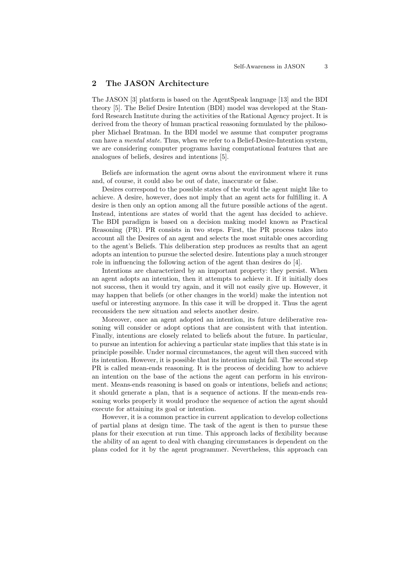# 2 The JASON Architecture

The JASON [3] platform is based on the AgentSpeak language [13] and the BDI theory [5]. The Belief Desire Intention (BDI) model was developed at the Stanford Research Institute during the activities of the Rational Agency project. It is derived from the theory of human practical reasoning formulated by the philosopher Michael Bratman. In the BDI model we assume that computer programs can have a mental state. Thus, when we refer to a Belief-Desire-Intention system, we are considering computer programs having computational features that are analogues of beliefs, desires and intentions [5].

Beliefs are information the agent owns about the environment where it runs and, of course, it could also be out of date, inaccurate or false.

Desires correspond to the possible states of the world the agent might like to achieve. A desire, however, does not imply that an agent acts for fulfilling it. A desire is then only an option among all the future possible actions of the agent. Instead, intentions are states of world that the agent has decided to achieve. The BDI paradigm is based on a decision making model known as Practical Reasoning (PR). PR consists in two steps. First, the PR process takes into account all the Desires of an agent and selects the most suitable ones according to the agent's Beliefs. This deliberation step produces as results that an agent adopts an intention to pursue the selected desire. Intentions play a much stronger role in influencing the following action of the agent than desires do [4].

Intentions are characterized by an important property: they persist. When an agent adopts an intention, then it attempts to achieve it. If it initially does not success, then it would try again, and it will not easily give up. However, it may happen that beliefs (or other changes in the world) make the intention not useful or interesting anymore. In this case it will be dropped it. Thus the agent reconsiders the new situation and selects another desire.

Moreover, once an agent adopted an intention, its future deliberative reasoning will consider or adopt options that are consistent with that intention. Finally, intentions are closely related to beliefs about the future. In particular, to pursue an intention for achieving a particular state implies that this state is in principle possible. Under normal circumstances, the agent will then succeed with its intention. However, it is possible that its intention might fail. The second step PR is called mean-ends reasoning. It is the process of deciding how to achieve an intention on the base of the actions the agent can perform in his environment. Means-ends reasoning is based on goals or intentions, beliefs and actions; it should generate a plan, that is a sequence of actions. If the mean-ends reasoning works properly it would produce the sequence of action the agent should execute for attaining its goal or intention.

However, it is a common practice in current application to develop collections of partial plans at design time. The task of the agent is then to pursue these plans for their execution at run time. This approach lacks of flexibility because the ability of an agent to deal with changing circumstances is dependent on the plans coded for it by the agent programmer. Nevertheless, this approach can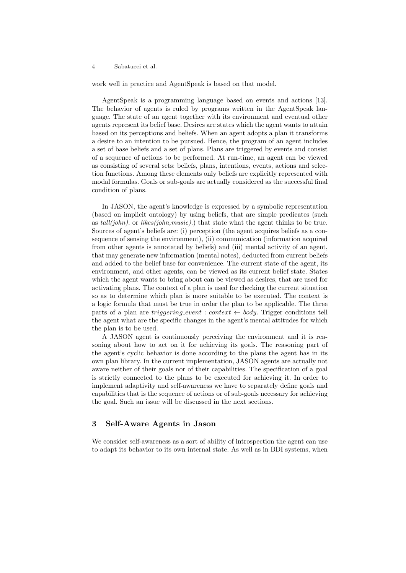work well in practice and AgentSpeak is based on that model.

AgentSpeak is a programming language based on events and actions [13]. The behavior of agents is ruled by programs written in the AgentSpeak language. The state of an agent together with its environment and eventual other agents represent its belief base. Desires are states which the agent wants to attain based on its perceptions and beliefs. When an agent adopts a plan it transforms a desire to an intention to be pursued. Hence, the program of an agent includes a set of base beliefs and a set of plans. Plans are triggered by events and consist of a sequence of actions to be performed. At run-time, an agent can be viewed as consisting of several sets: beliefs, plans, intentions, events, actions and selection functions. Among these elements only beliefs are explicitly represented with modal formulas. Goals or sub-goals are actually considered as the successful final condition of plans.

In JASON, the agent's knowledge is expressed by a symbolic representation (based on implicit ontology) by using beliefs, that are simple predicates (such as  $tall(john)$ . or likes(john,music).) that state what the agent thinks to be true. Sources of agent's beliefs are: (i) perception (the agent acquires beliefs as a consequence of sensing the environment), (ii) communication (information acquired from other agents is annotated by beliefs) and (iii) mental activity of an agent, that may generate new information (mental notes), deducted from current beliefs and added to the belief base for convenience. The current state of the agent, its environment, and other agents, can be viewed as its current belief state. States which the agent wants to bring about can be viewed as desires, that are used for activating plans. The context of a plan is used for checking the current situation so as to determine which plan is more suitable to be executed. The context is a logic formula that must be true in order the plan to be applicable. The three parts of a plan are *triggering event* : *context*  $\leftarrow$  *body*. Trigger conditions tell the agent what are the specific changes in the agent's mental attitudes for which the plan is to be used.

A JASON agent is continuously perceiving the environment and it is reasoning about how to act on it for achieving its goals. The reasoning part of the agent's cyclic behavior is done according to the plans the agent has in its own plan library. In the current implementation, JASON agents are actually not aware neither of their goals nor of their capabilities. The specification of a goal is strictly connected to the plans to be executed for achieving it. In order to implement adaptivity and self-awareness we have to separately define goals and capabilities that is the sequence of actions or of sub-goals necessary for achieving the goal. Such an issue will be discussed in the next sections.

## 3 Self-Aware Agents in Jason

We consider self-awareness as a sort of ability of introspection the agent can use to adapt its behavior to its own internal state. As well as in BDI systems, when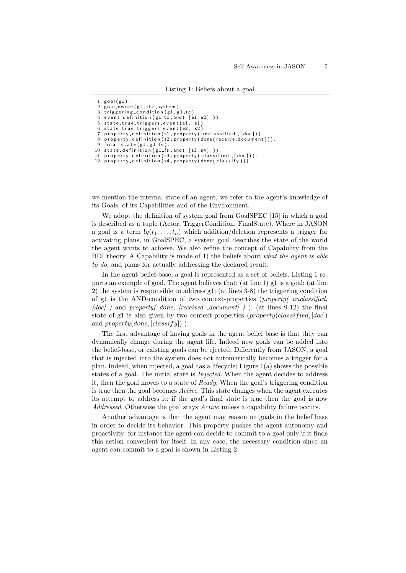```
\frac{1}{2} goal(g1)<br>2 goal own
    \text{goal\_owner} (g1, the system).
 3 triggering_condition(g1,g1_tc).<br>4 event_definition(g1_tc,and( [e1,e2] )).
 5 state_true_triggers_event(e1, s1).<br>6 state_true_triggers_event(e2, s2).<br>7 property_definition(s1,property(unclassified,[doc])).
 8 property-definition (s2, property (done (receive-document))).<br>9 final state (g1 g1 fs)
    final-state (g1, g1-fs).
10 state_definition (g1_f s, and ([s3, s4] ))
11 property_definition (s3, property (classified, [doc])).
12 property_definition (s4, property (done (classify))).
```
we mention the internal state of an agent, we refer to the agent's knowledge of its Goals, of its Capabilities and of the Environment.

We adopt the definition of system goal from GoalSPEC [15] in which a goal is described as a tuple (Actor, TriggerCondition, FinalState). Where in JASON a goal is a term  $\lg(t_1, \ldots, t_n)$  which addition/deletion represents a trigger for activating plans, in GoalSPEC, a system goal describes the state of the world the agent wants to achieve. We also refine the concept of Capability from the BDI theory. A Capability is made of 1) the beliefs about what the agent is able to do, and plans for actually addressing the declared result.

In the agent belief-base, a goal is represented as a set of beliefs. Listing 1 reports an example of goal. The agent believes that: (at line 1) g1 is a goal; (at line 2) the system is responsible to address g1; (at lines 3-8) the triggering condition of g1 is the AND-condition of two context-properties (property( unclassified,  $[doc]$ ) and property( done, [received document]); (at lines 9-12) the final state of g1 is also given by two context-properties  $(property(classified, [doc])$ and  $property(done, [classify])$ ).

The first advantage of having goals in the agent belief base is that they can dynamically change during the agent life. Indeed new goals can be added into the belief-base, or existing goals can be ejected. Differently from JASON, a goal that is injected into the system does not automatically becomes a trigger for a plan. Indeed, when injected, a goal has a lifecycle; Figure 1(a) shows the possible states of a goal. The initial state is *Injected*. When the agent decides to address it, then the goal moves to a state of Ready. When the goal's triggering condition is true then the goal becomes Active. This state changes when the agent executes its attempt to address it: if the goal's final state is true then the goal is now Addressed. Otherwise the goal stays Active unless a capability failure occurs.

Another advantage is that the agent may reason on goals in the belief base in order to decide its behavior. This property pushes the agent autonomy and proactivity: for instance the agent can decide to commit to a goal only if it finds this action convenient for itself. In any case, the necessary condition since an agent can commit to a goal is shown in Listing 2.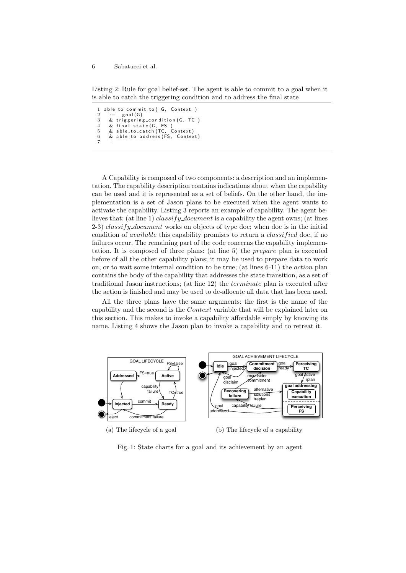Listing 2: Rule for goal belief-set. The agent is able to commit to a goal when it is able to catch the triggering condition and to address the final state

```
1 a b le_to_commit_to (G, Context)<br>2 :- goal (G)
2 : − goal (G)<br>3 & triggerin
\frac{3}{4} & triggering condition (G, TC)
4    & final_state(G, FS )<br>5    & able_to_catch(TC, Context)
6 & able_to_address (FS, Context)
7
```
A Capability is composed of two components: a description and an implementation. The capability description contains indications about when the capability can be used and it is represented as a set of beliefs. On the other hand, the implementation is a set of Jason plans to be executed when the agent wants to activate the capability. Listing 3 reports an example of capability. The agent believes that: (at line 1) classify document is a capability the agent owns; (at lines 2-3) *classify document* works on objects of type doc; when doc is in the initial condition of *available* this capability promises to return a *classified* doc, if no failures occur. The remaining part of the code concerns the capability implementation. It is composed of three plans: (at line 5) the prepare plan is executed before of all the other capability plans; it may be used to prepare data to work on, or to wait some internal condition to be true; (at lines 6-11) the action plan contains the body of the capability that addresses the state transition, as a set of traditional Jason instructions; (at line 12) the terminate plan is executed after the action is finished and may be used to de-allocate all data that has been used.

All the three plans have the same arguments: the first is the name of the capability and the second is the Context variable that will be explained later on this section. This makes to invoke a capability affordable simply by knowing its name. Listing 4 shows the Jason plan to invoke a capability and to retreat it.



(a) The lifecycle of a goal

(b) The lifecycle of a capability

Fig. 1: State charts for a goal and its achievement by an agent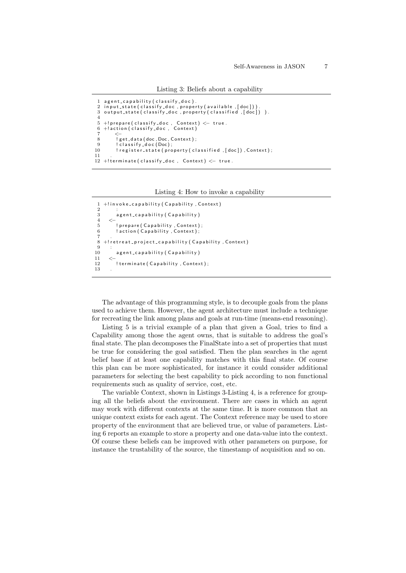Listing 3: Beliefs about a capability

```
1 agent_capability (classify_doc)<br>2 input state (classify doc.prope
   in put _state ( classify _doc , property ( available , [ doc ] ) )
 3 output_state (classify_doc, property (classified, [doc]) ).
 4
 5 +!prepare(classify_doc , Context) <− true.<br>6 +!action(classify_doc , Context)
 7 <−
 8 ! get_data (doc, Doc, Context);<br>9 : classify_doc(Doc);
           c lassify -d oc (Doc);
10 ! register_state ( property ( classified , [ doc ] ) , Context ) ;
11 .
12 +!terminate (classify_doc, Context) \leftarrow true.
```
Listing 4: How to invoke a capability

```
1 + ! in v o ke _ c a p a bility (Capability, Context)
 \frac{2}{3}a g e n t _ c a p a b i lity ( C a p a b i lity )
 \frac{4}{5}5 | prepare (Capability, Context);<br>6 | action (Capability, Context);
           ! action (Capability, Context);
 7 .
    +! retreat_project_capability (Capability, Context)
\frac{9}{10}agent_capability (Capability)
\frac{11}{12}! terminate (Capability, Context);
13 .
```
The advantage of this programming style, is to decouple goals from the plans used to achieve them. However, the agent architecture must include a technique for recreating the link among plans and goals at run-time (means-end reasoning).

Listing 5 is a trivial example of a plan that given a Goal, tries to find a Capability among those the agent owns, that is suitable to address the goal's final state. The plan decomposes the FinalState into a set of properties that must be true for considering the goal satisfied. Then the plan searches in the agent belief base if at least one capability matches with this final state. Of course this plan can be more sophisticated, for instance it could consider additional parameters for selecting the best capability to pick according to non functional requirements such as quality of service, cost, etc.

The variable Context, shown in Listings 3-Listing 4, is a reference for grouping all the beliefs about the environment. There are cases in which an agent may work with different contexts at the same time. It is more common that an unique context exists for each agent. The Context reference may be used to store property of the environment that are believed true, or value of parameters. Listing 6 reports an example to store a property and one data-value into the context. Of course these beliefs can be improved with other parameters on purpose, for instance the trustability of the source, the timestamp of acquisition and so on.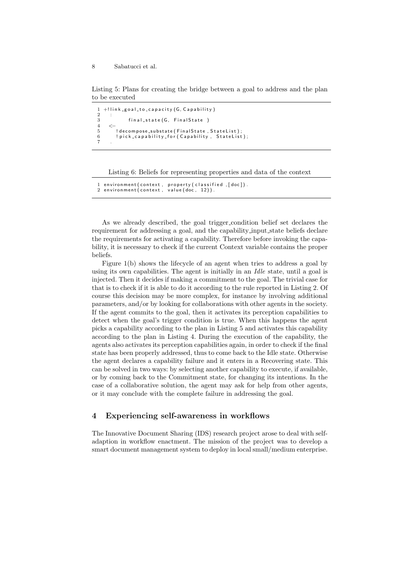Listing 5: Plans for creating the bridge between a goal to address and the plan to be executed

```
1 +! link _goal_to_capacity (G, Capability)
\frac{2}{3}3 final_state (G, FinalState)
4 <−
5 ! decompose_substate (FinalState, StateList);<br>6 ! pick_capability_for (Capability, StateList
        ! pick_capability_for (Capability, StateList);
7 .
```
Listing 6: Beliefs for representing properties and data of the context

```
environment (context, property (classified, [doc]).
2 environment (context, value (doc, 12)).
```
As we already described, the goal trigger condition belief set declares the requirement for addressing a goal, and the capability input state beliefs declare the requirements for activating a capability. Therefore before invoking the capability, it is necessary to check if the current Context variable contains the proper beliefs.

Figure 1(b) shows the lifecycle of an agent when tries to address a goal by using its own capabilities. The agent is initially in an *Idle* state, until a goal is injected. Then it decides if making a commitment to the goal. The trivial case for that is to check if it is able to do it according to the rule reported in Listing 2. Of course this decision may be more complex, for instance by involving additional parameters, and/or by looking for collaborations with other agents in the society. If the agent commits to the goal, then it activates its perception capabilities to detect when the goal's trigger condition is true. When this happens the agent picks a capability according to the plan in Listing 5 and activates this capability according to the plan in Listing 4. During the execution of the capability, the agents also activates its perception capabilities again, in order to check if the final state has been properly addressed, thus to come back to the Idle state. Otherwise the agent declares a capability failure and it enters in a Recovering state. This can be solved in two ways: by selecting another capability to execute, if available, or by coming back to the Commitment state, for changing its intentions. In the case of a collaborative solution, the agent may ask for help from other agents, or it may conclude with the complete failure in addressing the goal.

## 4 Experiencing self-awareness in workflows

The Innovative Document Sharing (IDS) research project arose to deal with selfadaption in workflow enactment. The mission of the project was to develop a smart document management system to deploy in local small/medium enterprise.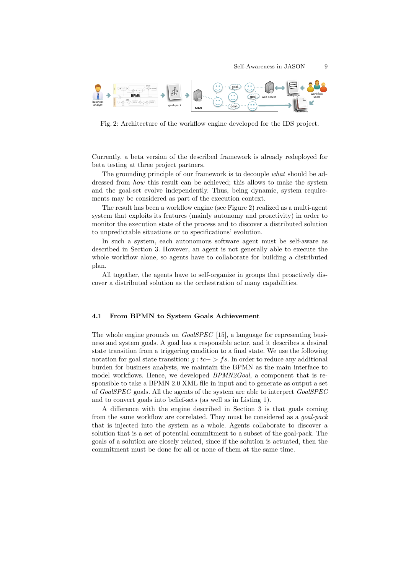

Fig. 2: Architecture of the workflow engine developed for the IDS project.

Currently, a beta version of the described framework is already redeployed for beta testing at three project partners.

The grounding principle of our framework is to decouple what should be addressed from *how* this result can be achieved; this allows to make the system and the goal-set evolve independently. Thus, being dynamic, system requirements may be considered as part of the execution context.

The result has been a workflow engine (see Figure 2) realized as a multi-agent system that exploits its features (mainly autonomy and proactivity) in order to monitor the execution state of the process and to discover a distributed solution to unpredictable situations or to specifications' evolution.

In such a system, each autonomous software agent must be self-aware as described in Section 3. However, an agent is not generally able to execute the whole workflow alone, so agents have to collaborate for building a distributed plan.

All together, the agents have to self-organize in groups that proactively discover a distributed solution as the orchestration of many capabilities.

#### 4.1 From BPMN to System Goals Achievement

The whole engine grounds on *GoalSPEC* [15], a language for representing business and system goals. A goal has a responsible actor, and it describes a desired state transition from a triggering condition to a final state. We use the following notation for goal state transition:  $q : tc -> fs$ . In order to reduce any additional burden for business analysts, we maintain the BPMN as the main interface to model workflows. Hence, we developed  $BPMN2Goal$ , a component that is responsible to take a BPMN 2.0 XML file in input and to generate as output a set of GoalSPEC goals. All the agents of the system are able to interpret GoalSPEC and to convert goals into belief-sets (as well as in Listing 1).

A difference with the engine described in Section 3 is that goals coming from the same workflow are correlated. They must be considered as a goal-pack that is injected into the system as a whole. Agents collaborate to discover a solution that is a set of potential commitment to a subset of the goal-pack. The goals of a solution are closely related, since if the solution is actuated, then the commitment must be done for all or none of them at the same time.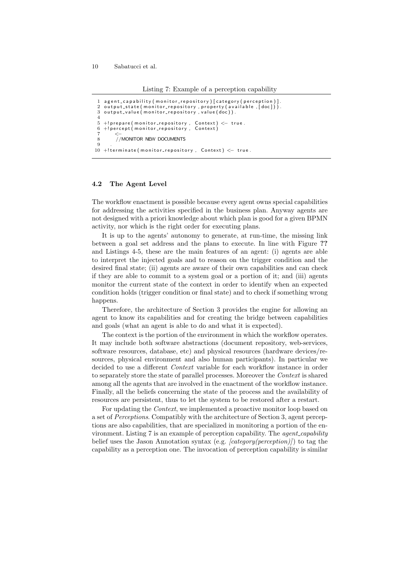Listing 7: Example of a perception capability

```
1 agent_capability (monitor_repository) [category (perception)]<br>2 output state (monitor repository .property (available .[doc]))
   output_state (monitor_repository, property (available, [doc])).
 3 output value (monitor repository, value (doc)).
 4
 5 + ! prepare (monitor_repository, Context) \leftarrow true.
 6 +! percept (monitor_repository, Context)
 7 <−
 8 //MONITOR NEW DOCUMENTS
 9 .
10 + ! terminate (monitor_repository, Context) \leftarrow true.
```
#### 4.2 The Agent Level

The workflow enactment is possible because every agent owns special capabilities for addressing the activities specified in the business plan. Anyway agents are not designed with a priori knowledge about which plan is good for a given BPMN activity, nor which is the right order for executing plans.

It is up to the agents' autonomy to generate, at run-time, the missing link between a goal set address and the plans to execute. In line with Figure ?? and Listings 4-5, these are the main features of an agent: (i) agents are able to interpret the injected goals and to reason on the trigger condition and the desired final state; (ii) agents are aware of their own capabilities and can check if they are able to commit to a system goal or a portion of it; and (iii) agents monitor the current state of the context in order to identify when an expected condition holds (trigger condition or final state) and to check if something wrong happens.

Therefore, the architecture of Section 3 provides the engine for allowing an agent to know its capabilities and for creating the bridge between capabilities and goals (what an agent is able to do and what it is expected).

The context is the portion of the environment in which the workflow operates. It may include both software abstractions (document repository, web-services, software resources, database, etc) and physical resources (hardware devices/resources, physical environment and also human participants). In particular we decided to use a different *Context* variable for each workflow instance in order to separately store the state of parallel processes. Moreover the Context is shared among all the agents that are involved in the enactment of the workflow instance. Finally, all the beliefs concerning the state of the process and the availability of resources are persistent, thus to let the system to be restored after a restart.

For updating the *Context*, we implemented a proactive monitor loop based on a set of Perceptions. Compatibly with the architecture of Section 3, agent perceptions are also capabilities, that are specialized in monitoring a portion of the environment. Listing  $7$  is an example of perception capability. The *agent\_capability* belief uses the Jason Annotation syntax (e.g. [category(perception)]) to tag the capability as a perception one. The invocation of perception capability is similar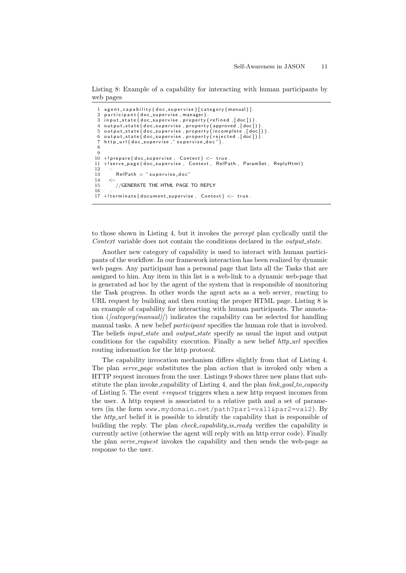Listing 8: Example of a capability for interacting with human participants by web pages

```
1 a g ent_capability (doc_supervise) [category (manual)].<br>2 participant (doc_supervise_manager).
 2 participant (doc supervise, manager)<br>3 input-state (doc-supervise, property
   \frac{1}{2} in put _state (doc_supervise, property (refined, [doc]))
 4 output state (doc supervise, property (approved, [doc]))
 5 output state (doc supervise, property (incomplete, [doc])).
 6 output_state (doc_supervise, property (rejected, [doc])).
   http://doc_superwise."supervised_doc."8
 9
10 + ! prepare (doc_supervise, Context) \le - true
11 + ! serve _ page (doc_supervise, Context, RelPath, ParamSet, ReplyHtml)
\frac{12}{13}RelPath = "supervised_d14 \le -<br>15//GENERATE THE HTML PAGE TO REPLY
\frac{16}{17}+!terminate (document_supervise, Context) < true.
```
to those shown in Listing 4, but it invokes the percept plan cyclically until the Context variable does not contain the conditions declared in the *output\_state*.

Another new category of capability is used to interact with human participants of the workflow. In our framework interaction has been realized by dynamic web pages. Any participant has a personal page that lists all the Tasks that are assigned to him. Any item in this list is a web-link to a dynamic web-page that is generated ad hoc by the agent of the system that is responsible of monitoring the Task progress. In other words the agent acts as a web server, reacting to URL request by building and then routing the proper HTML page. Listing 8 is an example of capability for interacting with human participants. The annotation  $((category(manual))$  indicates the capability can be selected for handling manual tasks. A new belief *participant* specifies the human role that is involved. The beliefs *input\_state* and *output\_state* specify as usual the input and output conditions for the capability execution. Finally a new belief  $http.url$  specifies routing information for the http protocol.

The capability invocation mechanism differs slightly from that of Listing 4. The plan serve page substitutes the plan action that is invoked only when a HTTP request incomes from the user. Listings 9 shows three new plans that substitute the plan invoke capability of Listing 4, and the plan  $link\_goal_to\_capacity$ of Listing 5. The event  $+request$  triggers when a new http request incomes from the user. A http request is associated to a relative path and a set of parameters (in the form www.mydomain.net/path?par1=val1&par2=val2). By the  $http.url$  belief it is possible to identify the capability that is responsible of building the reply. The plan *check\_capability\_is\_ready* verifies the capability is currently active (otherwise the agent will reply with an http error code). Finally the plan *serve\_request* invokes the capability and then sends the web-page as response to the user.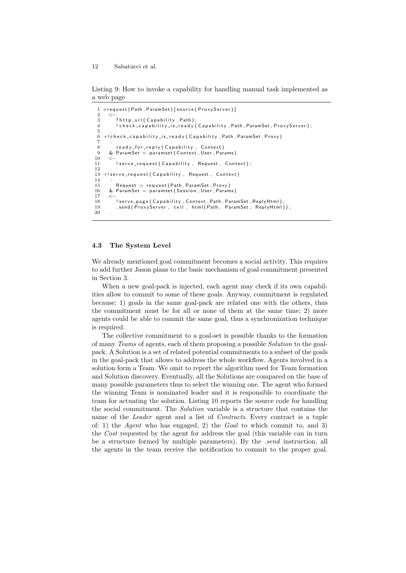Listing 9: How to invoke a capability for handling manual task implemented as a web page

```
1 + request (Path, ParamSet) [source (ProxyServer)]
 \frac{2}{3}3           ?http_url(Capability ,Path);<br>4            !check_capability_is_ready(Capability ,Path ,ParamSet ,ProxyServer);
 5 .
    +! check_capability_is_ready (Capability, Path, ParamSet, Proxy)
 \frac{7}{8}8 ready_for_reply (Capability, Context)<br>9 & ParamSet = paramset (Context, User, Par.
      \& ParamSet = paramset (Context, User, Params)
10 \\ 11! serve_request (Capability, Request, Context);
12 .
13 + ! serve_request (Capability, Request, Context)
\frac{14}{15}15 Request = request (Path, ParamSet, Proxy)<br>16 & ParamSet = paramset (Session, User, Param
      & ParamSet = paramset (Session, User, Params)
1718 ! serve_page (Capability, Context, Path, ParamSet, ReplyHtml)
19 . send (ProxyServer, tell, html (Path, ParamSet, ReplyHtml));
20 .
```
#### 4.3 The System Level

We already mentioned goal commitment becomes a social activity. This requires to add further Jason plans to the basic mechanism of goal commitment presented in Section 3.

When a new goal-pack is injected, each agent may check if its own capabilities allow to commit to some of these goals. Anyway, commitment is regulated because: 1) goals in the same goal-pack are related one with the others, thus the commitment must be for all or none of them at the same time; 2) more agents could be able to commit the same goal, thus a synchronization technique is required.

The collective commitment to a goal-set is possible thanks to the formation of many Teams of agents, each of them proposing a possible Solution to the goalpack. A Solution is a set of related potential commitments to a subset of the goals in the goal-pack that allows to address the whole workflow. Agents involved in a solution form a Team. We omit to report the algorithm used for Team formation and Solution discovery. Eventually, all the Solutions are compared on the base of many possible parameters thus to select the winning one. The agent who formed the winning Team is nominated leader and it is responsible to coordinate the team for actuating the solution. Listing 10 reports the source code for handling the social commitment. The Solution variable is a structure that contains the name of the *Leader* agent and a list of *Contracts*. Every contract is a tuple of: 1) the Agent who has engaged, 2) the Goal to which commit to, and 3) the Cost requested by the agent for address the goal (this variable can in turn be a structure formed by multiple parameters). By the *send* instruction, all the agents in the team receive the notification to commit to the proper goal.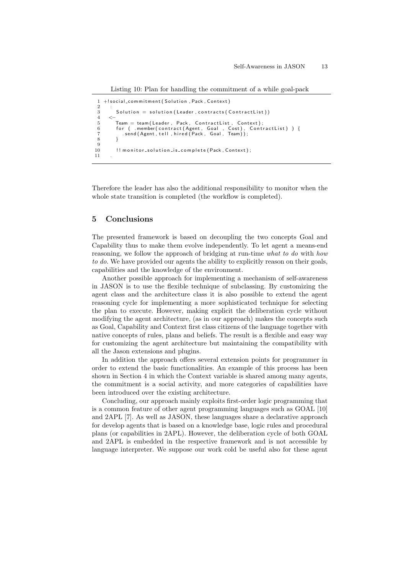Listing 10: Plan for handling the commitment of a while goal-pack

```
1 +!social_commitment (Solution, Pack, Context)
 \frac{2}{3}Solution = solution (Leader, contracts (ContractList))4 <−
 5 Team = team (Leader, Pack, ContractList, Context);<br>6 for ( .member (contract (Agent, Goal , Cost), Conti<br>7 send (Agent, tell, hired (Pack, Goal, Team));
 6    for ( .member(contract(Agent, Goal , Cost), ContractList) ) {<br>7     .send(Agent,tell,hired(Pack, Goal, Team));
 8 }
 9
10 !! monitor_solution_is_complete (Pack, Context);
11
```
Therefore the leader has also the additional responsibility to monitor when the whole state transition is completed (the workflow is completed).

## 5 Conclusions

The presented framework is based on decoupling the two concepts Goal and Capability thus to make them evolve independently. To let agent a means-end reasoning, we follow the approach of bridging at run-time what to do with how to do. We have provided our agents the ability to explicitly reason on their goals, capabilities and the knowledge of the environment.

Another possible approach for implementing a mechanism of self-awareness in JASON is to use the flexible technique of subclassing. By customizing the agent class and the architecture class it is also possible to extend the agent reasoning cycle for implementing a more sophisticated technique for selecting the plan to execute. However, making explicit the deliberation cycle without modifying the agent architecture, (as in our approach) makes the concepts such as Goal, Capability and Context first class citizens of the language together with native concepts of rules, plans and beliefs. The result is a flexible and easy way for customizing the agent architecture but maintaining the compatibility with all the Jason extensions and plugins.

In addition the approach offers several extension points for programmer in order to extend the basic functionalities. An example of this process has been shown in Section 4 in which the Context variable is shared among many agents, the commitment is a social activity, and more categories of capabilities have been introduced over the existing architecture.

Concluding, our approach mainly exploits first-order logic programming that is a common feature of other agent programming languages such as GOAL [10] and 2APL [7]. As well as JASON, these languages share a declarative approach for develop agents that is based on a knowledge base, logic rules and procedural plans (or capabilities in 2APL). However, the deliberation cycle of both GOAL and 2APL is embedded in the respective framework and is not accessible by language interpreter. We suppose our work cold be useful also for these agent